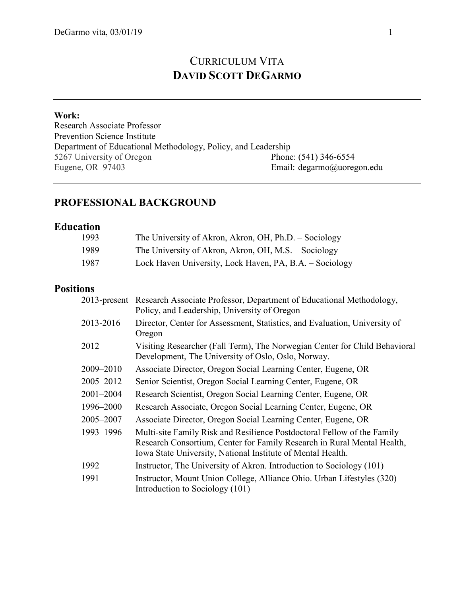# CURRICULUM VITA **DAVID SCOTT DEGARMO**

#### **Work:**

Research Associate Professor Prevention Science Institute Department of Educational Methodology, Policy, and Leadership<br>5267 University of Oregon Phone: (541) 346-6554 5267 University of Oregon<br>Eugene, OR 97403 Email: degarmo@uoregon.edu

### **PROFESSIONAL BACKGROUND**

### **Education**

| 1993 | The University of Akron, Akron, OH, Ph.D. – Sociology   |
|------|---------------------------------------------------------|
| 1989 | The University of Akron, Akron, OH, M.S. – Sociology    |
| 1987 | Lock Haven University, Lock Haven, PA, B.A. - Sociology |

## **Positions**

|               | 2013-present Research Associate Professor, Department of Educational Methodology,<br>Policy, and Leadership, University of Oregon                                                                                 |
|---------------|-------------------------------------------------------------------------------------------------------------------------------------------------------------------------------------------------------------------|
| 2013-2016     | Director, Center for Assessment, Statistics, and Evaluation, University of<br>Oregon                                                                                                                              |
| 2012          | Visiting Researcher (Fall Term), The Norwegian Center for Child Behavioral<br>Development, The University of Oslo, Oslo, Norway.                                                                                  |
| 2009-2010     | Associate Director, Oregon Social Learning Center, Eugene, OR                                                                                                                                                     |
| 2005–2012     | Senior Scientist, Oregon Social Learning Center, Eugene, OR                                                                                                                                                       |
| $2001 - 2004$ | Research Scientist, Oregon Social Learning Center, Eugene, OR                                                                                                                                                     |
| 1996-2000     | Research Associate, Oregon Social Learning Center, Eugene, OR                                                                                                                                                     |
| 2005–2007     | Associate Director, Oregon Social Learning Center, Eugene, OR                                                                                                                                                     |
| 1993-1996     | Multi-site Family Risk and Resilience Postdoctoral Fellow of the Family<br>Research Consortium, Center for Family Research in Rural Mental Health,<br>Iowa State University, National Institute of Mental Health. |
| 1992          | Instructor, The University of Akron. Introduction to Sociology (101)                                                                                                                                              |
| 1991          | Instructor, Mount Union College, Alliance Ohio. Urban Lifestyles (320)<br>Introduction to Sociology (101)                                                                                                         |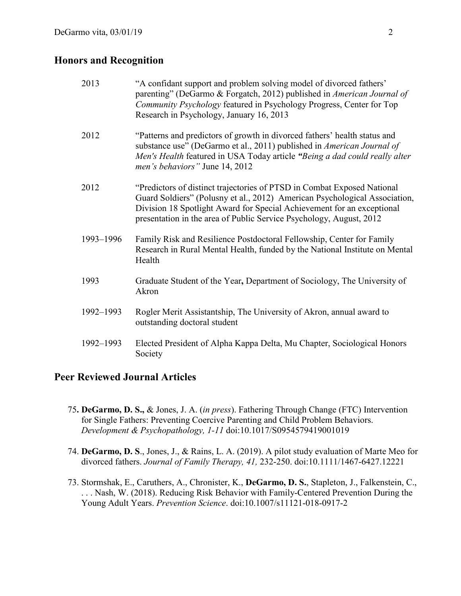#### **Honors and Recognition**

| 2013      | "A confidant support and problem solving model of divorced fathers'<br>parenting" (DeGarmo & Forgatch, 2012) published in American Journal of<br>Community Psychology featured in Psychology Progress, Center for Top<br>Research in Psychology, January 16, 2013                                      |
|-----------|--------------------------------------------------------------------------------------------------------------------------------------------------------------------------------------------------------------------------------------------------------------------------------------------------------|
| 2012      | "Patterns and predictors of growth in divorced fathers' health status and<br>substance use" (DeGarmo et al., 2011) published in American Journal of<br>Men's Health featured in USA Today article "Being a dad could really alter<br>men's behaviors" June 14, 2012                                    |
| 2012      | "Predictors of distinct trajectories of PTSD in Combat Exposed National<br>Guard Soldiers" (Polusny et al., 2012) American Psychological Association,<br>Division 18 Spotlight Award for Special Achievement for an exceptional<br>presentation in the area of Public Service Psychology, August, 2012 |
| 1993-1996 | Family Risk and Resilience Postdoctoral Fellowship, Center for Family<br>Research in Rural Mental Health, funded by the National Institute on Mental<br>Health                                                                                                                                         |
| 1993      | Graduate Student of the Year, Department of Sociology, The University of<br>Akron                                                                                                                                                                                                                      |
| 1992-1993 | Rogler Merit Assistantship, The University of Akron, annual award to<br>outstanding doctoral student                                                                                                                                                                                                   |
| 1992-1993 | Elected President of Alpha Kappa Delta, Mu Chapter, Sociological Honors<br>Society                                                                                                                                                                                                                     |

#### **Peer Reviewed Journal Articles**

- 75**. DeGarmo, D. S.,** & Jones, J. A. (*in press*). Fathering Through Change (FTC) Intervention for Single Fathers: Preventing Coercive Parenting and Child Problem Behaviors. *Development & Psychopathology, 1-11* doi:10.1017/S0954579419001019
- 74. **DeGarmo, D. S**., Jones, J., & Rains, L. A. (2019). A pilot study evaluation of Marte Meo for divorced fathers. *Journal of Family Therapy, 41,* 232-250. doi:10.1111/1467-6427.12221
- 73. Stormshak, E., Caruthers, A., Chronister, K., **DeGarmo, D. S.**, Stapleton, J., Falkenstein, C., . . . Nash, W. (2018). Reducing Risk Behavior with Family-Centered Prevention During the Young Adult Years. *Prevention Science*. doi:10.1007/s11121-018-0917-2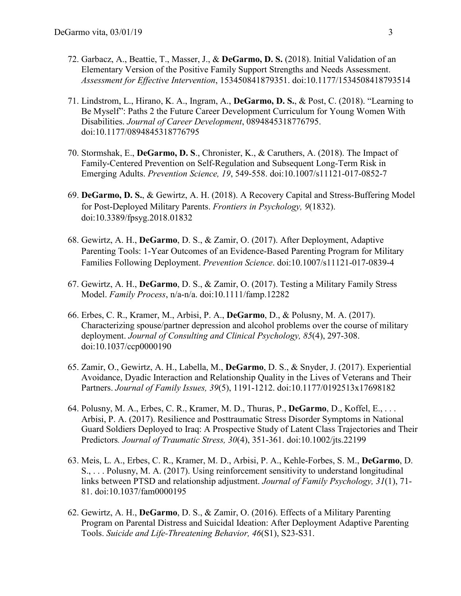- 72. Garbacz, A., Beattie, T., Masser, J., & **DeGarmo, D. S.** (2018). Initial Validation of an Elementary Version of the Positive Family Support Strengths and Needs Assessment. *Assessment for Effective Intervention*, 153450841879351. doi:10.1177/1534508418793514
- 71. Lindstrom, L., Hirano, K. A., Ingram, A., **DeGarmo, D. S.**, & Post, C. (2018). "Learning to Be Myself": Paths 2 the Future Career Development Curriculum for Young Women With Disabilities. *Journal of Career Development*, 0894845318776795. doi:10.1177/0894845318776795
- 70. Stormshak, E., **DeGarmo, D. S**., Chronister, K., & Caruthers, A. (2018). The Impact of Family-Centered Prevention on Self-Regulation and Subsequent Long-Term Risk in Emerging Adults. *Prevention Science, 19*, 549-558. doi:10.1007/s11121-017-0852-7
- 69. **DeGarmo, D. S.**, & Gewirtz, A. H. (2018). A Recovery Capital and Stress-Buffering Model for Post-Deployed Military Parents. *Frontiers in Psychology, 9*(1832). doi:10.3389/fpsyg.2018.01832
- 68. Gewirtz, A. H., **DeGarmo**, D. S., & Zamir, O. (2017). After Deployment, Adaptive Parenting Tools: 1-Year Outcomes of an Evidence-Based Parenting Program for Military Families Following Deployment. *Prevention Science*. doi:10.1007/s11121-017-0839-4
- 67. Gewirtz, A. H., **DeGarmo**, D. S., & Zamir, O. (2017). Testing a Military Family Stress Model. *Family Process*, n/a-n/a. doi:10.1111/famp.12282
- 66. Erbes, C. R., Kramer, M., Arbisi, P. A., **DeGarmo**, D., & Polusny, M. A. (2017). Characterizing spouse/partner depression and alcohol problems over the course of military deployment. *Journal of Consulting and Clinical Psychology, 85*(4), 297-308. doi:10.1037/ccp0000190
- 65. Zamir, O., Gewirtz, A. H., Labella, M., **DeGarmo**, D. S., & Snyder, J. (2017). Experiential Avoidance, Dyadic Interaction and Relationship Quality in the Lives of Veterans and Their Partners. *Journal of Family Issues, 39*(5), 1191-1212. doi:10.1177/0192513x17698182
- 64. Polusny, M. A., Erbes, C. R., Kramer, M. D., Thuras, P., **DeGarmo**, D., Koffel, E., . . . Arbisi, P. A. (2017). Resilience and Posttraumatic Stress Disorder Symptoms in National Guard Soldiers Deployed to Iraq: A Prospective Study of Latent Class Trajectories and Their Predictors*. Journal of Traumatic Stress, 30*(4), 351-361. doi:10.1002/jts.22199
- 63. Meis, L. A., Erbes, C. R., Kramer, M. D., Arbisi, P. A., Kehle-Forbes, S. M., **DeGarmo**, D. S., . . . Polusny, M. A. (2017). Using reinforcement sensitivity to understand longitudinal links between PTSD and relationship adjustment. *Journal of Family Psychology, 31*(1), 71- 81. doi:10.1037/fam0000195
- 62. Gewirtz, A. H., **DeGarmo**, D. S., & Zamir, O. (2016). Effects of a Military Parenting Program on Parental Distress and Suicidal Ideation: After Deployment Adaptive Parenting Tools. *Suicide and Life-Threatening Behavior, 46*(S1), S23-S31.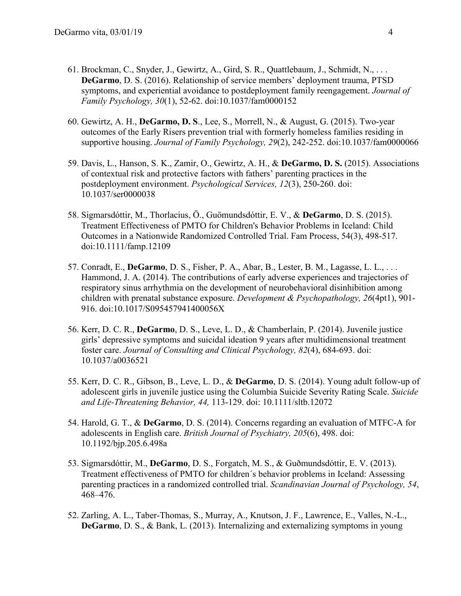- 61. Brockman, C., Snyder, J., Gewirtz, A., Gird, S. R., Quattlebaum, J., Schmidt, N., . . . **DeGarmo**, D. S. (2016). Relationship of service members' deployment trauma, PTSD symptoms, and experiential avoidance to postdeployment family reengagement. *Journal of Family Psychology, 30*(1), 52-62. doi:10.1037/fam0000152
- 60. Gewirtz, A. H., **DeGarmo, D. S**., Lee, S., Morrell, N., & August, G. (2015). Two-year outcomes of the Early Risers prevention trial with formerly homeless families residing in supportive housing. *Journal of Family Psychology, 29*(2), 242-252. doi:10.1037/fam0000066
- 59. Davis, L., Hanson, S. K., Zamir, O., Gewirtz, A. H., & **DeGarmo, D. S.** (2015). Associations of contextual risk and protective factors with fathers' parenting practices in the postdeployment environment. *Psychological Services, 12*(3), 250-260. doi: 10.1037/ser0000038
- 58. Sigmarsdóttir, M., Thorlacius, Ö., Guömundsdóttir, E. V., & **DeGarmo**, D. S. (2015). Treatment Effectiveness of PMTO for Children's Behavior Problems in Iceland: Child Outcomes in a Nationwide Randomized Controlled Trial. Fam Process, 54(3), 498-517. doi:10.1111/famp.12109
- 57. Conradt, E., **DeGarmo**, D. S., Fisher, P. A., Abar, B., Lester, B. M., Lagasse, L. L., . . . Hammond, J. A. (2014). The contributions of early adverse experiences and trajectories of respiratory sinus arrhythmia on the development of neurobehavioral disinhibition among children with prenatal substance exposure. *Development & Psychopathology, 26*(4pt1), 901- 916. doi:10.1017/S095457941400056X
- 56. Kerr, D. C. R., **DeGarmo**, D. S., Leve, L. D., & Chamberlain, P. (2014). Juvenile justice girls' depressive symptoms and suicidal ideation 9 years after multidimensional treatment foster care. *Journal of Consulting and Clinical Psychology, 82*(4), 684-693. doi: 10.1037/a0036521
- 55. Kerr, D. C. R., Gibson, B., Leve, L. D., & **DeGarmo**, D. S. (2014). Young adult follow-up of adolescent girls in juvenile justice using the Columbia Suicide Severity Rating Scale. *Suicide and Life-Threatening Behavior, 44,* 113-129. doi: 10.1111/sltb.12072
- 54. Harold, G. T., & **DeGarmo**, D. S. (2014). Concerns regarding an evaluation of MTFC-A for adolescents in English care. *British Journal of Psychiatry, 205*(6), 498. doi: 10.1192/bjp.205.6.498a
- 53. Sigmarsdóttir, M., **DeGarmo**, D. S., Forgatch, M. S., & Guðmundsdóttir, E. V. (2013). Treatment effectiveness of PMTO for children´s behavior problems in Iceland: Assessing parenting practices in a randomized controlled trial. *Scandinavian Journal of Psychology, 54*, 468–476.
- 52. Zarling, A. L., Taber-Thomas, S., Murray, A., Knutson, J. F., Lawrence, E., Valles, N.-L., **DeGarmo**, D. S., & Bank, L. (2013). Internalizing and externalizing symptoms in young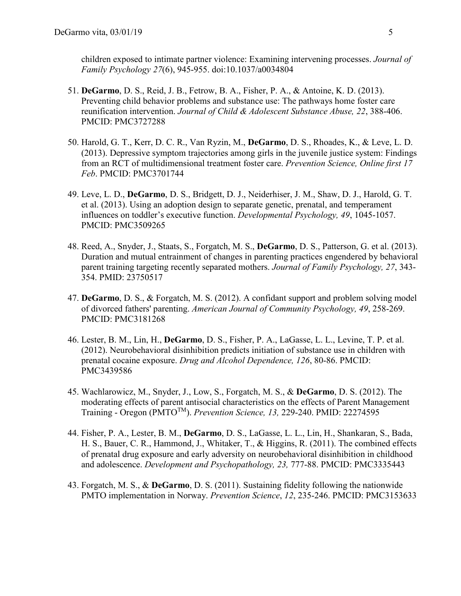children exposed to intimate partner violence: Examining intervening processes. *Journal of Family Psychology 27*(6), 945-955. doi:10.1037/a0034804

- 51. **DeGarmo**, D. S., Reid, J. B., Fetrow, B. A., Fisher, P. A., & Antoine, K. D. (2013). Preventing child behavior problems and substance use: The pathways home foster care reunification intervention. *Journal of Child & Adolescent Substance Abuse, 22*, 388-406. PMCID: PMC3727288
- 50. Harold, G. T., Kerr, D. C. R., Van Ryzin, M., **DeGarmo**, D. S., Rhoades, K., & Leve, L. D. (2013). Depressive symptom trajectories among girls in the juvenile justice system: Findings from an RCT of multidimensional treatment foster care. *Prevention Science, Online first 17 Feb*. PMCID: PMC3701744
- 49. Leve, L. D., **DeGarmo**, D. S., Bridgett, D. J., Neiderhiser, J. M., Shaw, D. J., Harold, G. T. et al. (2013). Using an adoption design to separate genetic, prenatal, and temperament influences on toddler's executive function. *Developmental Psychology, 49*, 1045-1057. PMCID: PMC3509265
- 48. Reed, A., Snyder, J., Staats, S., Forgatch, M. S., **DeGarmo**, D. S., Patterson, G. et al. (2013). Duration and mutual entrainment of changes in parenting practices engendered by behavioral parent training targeting recently separated mothers. *Journal of Family Psychology, 27*, 343- 354. PMID: 23750517
- 47. **DeGarmo**, D. S., & Forgatch, M. S. (2012). A confidant support and problem solving model of divorced fathers' parenting. *American Journal of Community Psychology, 49*, 258-269. PMCID: PMC3181268
- 46. Lester, B. M., Lin, H., **DeGarmo**, D. S., Fisher, P. A., LaGasse, L. L., Levine, T. P. et al. (2012). Neurobehavioral disinhibition predicts initiation of substance use in children with prenatal cocaine exposure. *Drug and Alcohol Dependence, 126*, 80-86. PMCID: PMC3439586
- 45. Wachlarowicz, M., Snyder, J., Low, S., Forgatch, M. S., & **DeGarmo**, D. S. (2012). The moderating effects of parent antisocial characteristics on the effects of Parent Management Training - Oregon (PMTOTM). *Prevention Science, 13,* 229-240. PMID: 22274595
- 44. Fisher, P. A., Lester, B. M., **DeGarmo**, D. S., LaGasse, L. L., Lin, H., Shankaran, S., Bada, H. S., Bauer, C. R., Hammond, J., Whitaker, T., & Higgins, R. (2011). The combined effects of prenatal drug exposure and early adversity on neurobehavioral disinhibition in childhood and adolescence. *Development and Psychopathology, 23,* 777-88. PMCID: PMC3335443
- 43. Forgatch, M. S., & **DeGarmo**, D. S. (2011). Sustaining fidelity following the nationwide PMTO implementation in Norway. *Prevention Science*, *12*, 235-246. PMCID: PMC3153633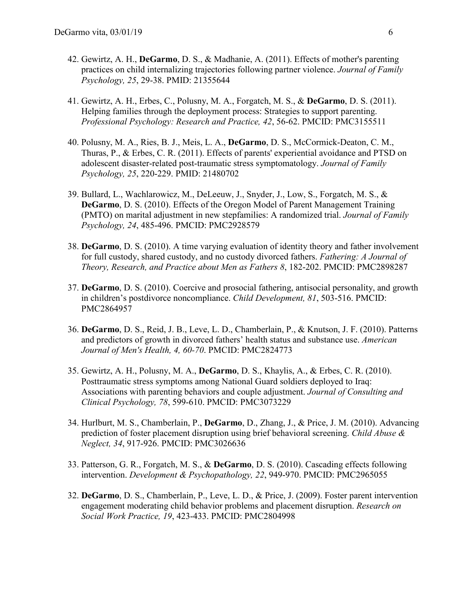- 42. Gewirtz, A. H., **DeGarmo**, D. S., & Madhanie, A. (2011). Effects of mother's parenting practices on child internalizing trajectories following partner violence. *Journal of Family Psychology, 25*, 29-38. PMID: 21355644
- 41. Gewirtz, A. H., Erbes, C., Polusny, M. A., Forgatch, M. S., & **DeGarmo**, D. S. (2011). Helping families through the deployment process: Strategies to support parenting. *Professional Psychology: Research and Practice, 42*, 56-62. PMCID: PMC3155511
- 40. Polusny, M. A., Ries, B. J., Meis, L. A., **DeGarmo**, D. S., McCormick-Deaton, C. M., Thuras, P., & Erbes, C. R. (2011). Effects of parents' experiential avoidance and PTSD on adolescent disaster-related post-traumatic stress symptomatology. *Journal of Family Psychology, 25*, 220-229. PMID: 21480702
- 39. Bullard, L., Wachlarowicz, M., DeLeeuw, J., Snyder, J., Low, S., Forgatch, M. S., & **DeGarmo**, D. S. (2010). Effects of the Oregon Model of Parent Management Training (PMTO) on marital adjustment in new stepfamilies: A randomized trial. *Journal of Family Psychology, 24*, 485-496. PMCID: PMC2928579
- 38. **DeGarmo**, D. S. (2010). A time varying evaluation of identity theory and father involvement for full custody, shared custody, and no custody divorced fathers. *Fathering: A Journal of Theory, Research, and Practice about Men as Fathers 8*, 182-202. PMCID: PMC2898287
- 37. **DeGarmo**, D. S. (2010). Coercive and prosocial fathering, antisocial personality, and growth in children's postdivorce noncompliance. *Child Development, 81*, 503-516. PMCID: PMC2864957
- 36. **DeGarmo**, D. S., Reid, J. B., Leve, L. D., Chamberlain, P., & Knutson, J. F. (2010). Patterns and predictors of growth in divorced fathers' health status and substance use. *American Journal of Men's Health, 4, 60-70*. PMCID: PMC2824773
- 35. Gewirtz, A. H., Polusny, M. A., **DeGarmo**, D. S., Khaylis, A., & Erbes, C. R. (2010). Posttraumatic stress symptoms among National Guard soldiers deployed to Iraq: Associations with parenting behaviors and couple adjustment. *Journal of Consulting and Clinical Psychology, 78*, 599-610. PMCID: PMC3073229
- 34. Hurlburt, M. S., Chamberlain, P., **DeGarmo**, D., Zhang, J., & Price, J. M. (2010). Advancing prediction of foster placement disruption using brief behavioral screening. *Child Abuse & Neglect, 34*, 917-926. PMCID: PMC3026636
- 33. Patterson, G. R., Forgatch, M. S., & **DeGarmo**, D. S. (2010). Cascading effects following intervention. *Development & Psychopathology, 22*, 949-970. PMCID: PMC2965055
- 32. **DeGarmo**, D. S., Chamberlain, P., Leve, L. D., & Price, J. (2009). Foster parent intervention engagement moderating child behavior problems and placement disruption. *Research on Social Work Practice, 19*, 423-433. PMCID: PMC2804998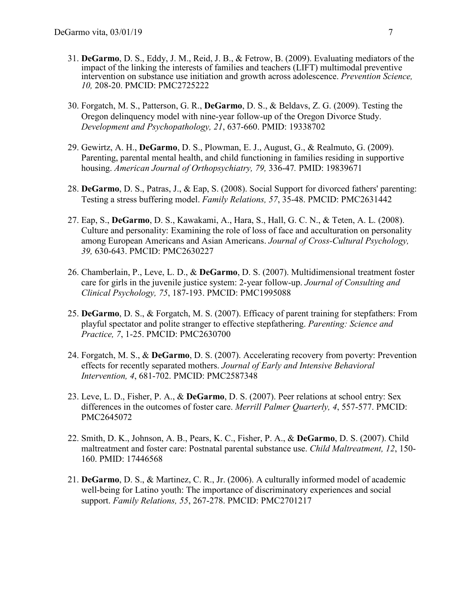- 31. **DeGarmo**, D. S., Eddy, J. M., Reid, J. B., & Fetrow, B. (2009). Evaluating mediators of the impact of the linking the interests of families and teachers (LIFT) multimodal preventive intervention on substance use initiation and growth across adolescence. *Prevention Science, 10,* 208-20. PMCID: PMC2725222
- 30. Forgatch, M. S., Patterson, G. R., **DeGarmo**, D. S., & Beldavs, Z. G. (2009). Testing the Oregon delinquency model with nine-year follow-up of the Oregon Divorce Study. *Development and Psychopathology, 21*, 637-660. PMID: 19338702
- 29. Gewirtz, A. H., **DeGarmo**, D. S., Plowman, E. J., August, G., & Realmuto, G. (2009). Parenting, parental mental health, and child functioning in families residing in supportive housing. *American Journal of Orthopsychiatry, 79,* 336-47*.* PMID: 19839671
- 28. **DeGarmo**, D. S., Patras, J., & Eap, S. (2008). Social Support for divorced fathers' parenting: Testing a stress buffering model. *Family Relations, 57*, 35-48. PMCID: PMC2631442
- 27. Eap, S., **DeGarmo**, D. S., Kawakami, A., Hara, S., Hall, G. C. N., & Teten, A. L. (2008). Culture and personality: Examining the role of loss of face and acculturation on personality among European Americans and Asian Americans. *Journal of Cross-Cultural Psychology, 39,* 630-643. PMCID: PMC2630227
- 26. Chamberlain, P., Leve, L. D., & **DeGarmo**, D. S. (2007). Multidimensional treatment foster care for girls in the juvenile justice system: 2-year follow-up. *Journal of Consulting and Clinical Psychology, 75*, 187-193. PMCID: PMC1995088
- 25. **DeGarmo**, D. S., & Forgatch, M. S. (2007). Efficacy of parent training for stepfathers: From playful spectator and polite stranger to effective stepfathering. *Parenting: Science and Practice, 7*, 1-25. PMCID: PMC2630700
- 24. Forgatch, M. S., & **DeGarmo**, D. S. (2007). Accelerating recovery from poverty: Prevention effects for recently separated mothers. *Journal of Early and Intensive Behavioral Intervention, 4*, 681-702. PMCID: PMC2587348
- 23. Leve, L. D., Fisher, P. A., & **DeGarmo**, D. S. (2007). Peer relations at school entry: Sex differences in the outcomes of foster care. *Merrill Palmer Quarterly, 4*, 557-577. PMCID: PMC2645072
- 22. Smith, D. K., Johnson, A. B., Pears, K. C., Fisher, P. A., & **DeGarmo**, D. S. (2007). Child maltreatment and foster care: Postnatal parental substance use. *Child Maltreatment, 12*, 150- 160. PMID: 17446568
- 21. **DeGarmo**, D. S., & Martinez, C. R., Jr. (2006). A culturally informed model of academic well-being for Latino youth: The importance of discriminatory experiences and social support. *Family Relations, 55*, 267-278. PMCID: PMC2701217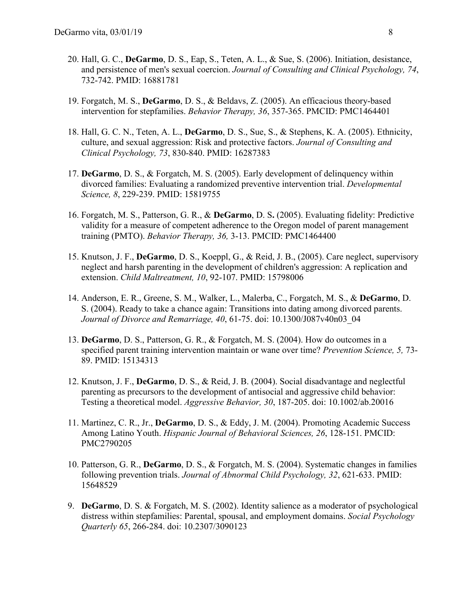- 20. Hall, G. C., **DeGarmo**, D. S., Eap, S., Teten, A. L., & Sue, S. (2006). Initiation, desistance, and persistence of men's sexual coercion. *Journal of Consulting and Clinical Psychology, 74*, 732-742. PMID: 16881781
- 19. Forgatch, M. S., **DeGarmo**, D. S., & Beldavs, Z. (2005). An efficacious theory-based intervention for stepfamilies. *Behavior Therapy, 36*, 357-365. PMCID: PMC1464401
- 18. Hall, G. C. N., Teten, A. L., **DeGarmo**, D. S., Sue, S., & Stephens, K. A. (2005). Ethnicity, culture, and sexual aggression: Risk and protective factors. *Journal of Consulting and Clinical Psychology, 73*, 830-840. PMID: 16287383
- 17. **DeGarmo**, D. S., & Forgatch, M. S. (2005). Early development of delinquency within divorced families: Evaluating a randomized preventive intervention trial. *Developmental Science, 8*, 229-239. PMID: 15819755
- 16. Forgatch, M. S., Patterson, G. R., & **DeGarmo**, D. S**.** (2005). Evaluating fidelity: Predictive validity for a measure of competent adherence to the Oregon model of parent management training (PMTO). *Behavior Therapy, 36,* 3-13. PMCID: PMC1464400
- 15. Knutson, J. F., **DeGarmo**, D. S., Koeppl, G., & Reid, J. B., (2005). Care neglect, supervisory neglect and harsh parenting in the development of children's aggression: A replication and extension. *Child Maltreatment, 10*, 92-107. PMID: 15798006
- 14. Anderson, E. R., Greene, S. M., Walker, L., Malerba, C., Forgatch, M. S., & **DeGarmo**, D. S. (2004). Ready to take a chance again: Transitions into dating among divorced parents. *Journal of Divorce and Remarriage, 40*, 61-75. doi: 10.1300/J087v40n03\_04
- 13. **DeGarmo**, D. S., Patterson, G. R., & Forgatch, M. S. (2004). How do outcomes in a specified parent training intervention maintain or wane over time? *Prevention Science, 5,* 73- 89. PMID: 15134313
- 12. Knutson, J. F., **DeGarmo**, D. S., & Reid, J. B. (2004). Social disadvantage and neglectful parenting as precursors to the development of antisocial and aggressive child behavior: Testing a theoretical model. *Aggressive Behavior, 30*, 187-205. doi: 10.1002/ab.20016
- 11. Martinez, C. R., Jr., **DeGarmo**, D. S., & Eddy, J. M. (2004). Promoting Academic Success Among Latino Youth. *Hispanic Journal of Behavioral Sciences, 26*, 128-151. PMCID: PMC2790205
- 10. Patterson, G. R., **DeGarmo**, D. S., & Forgatch, M. S. (2004). Systematic changes in families following prevention trials. *Journal of Abnormal Child Psychology, 32*, 621-633. PMID: 15648529
- 9. **DeGarmo**, D. S. & Forgatch, M. S. (2002). Identity salience as a moderator of psychological distress within stepfamilies: Parental, spousal, and employment domains. *Social Psychology Quarterly 65*, 266-284. doi: 10.2307/3090123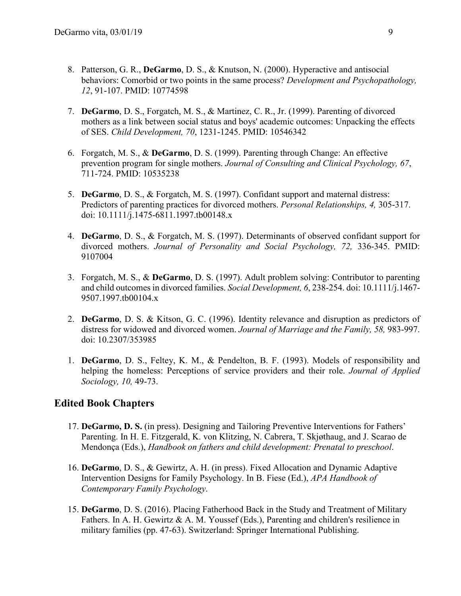- 8. Patterson, G. R., **DeGarmo**, D. S., & Knutson, N. (2000). Hyperactive and antisocial behaviors: Comorbid or two points in the same process? *Development and Psychopathology, 12*, 91-107. PMID: 10774598
- 7. **DeGarmo**, D. S., Forgatch, M. S., & Martinez, C. R., Jr. (1999). Parenting of divorced mothers as a link between social status and boys' academic outcomes: Unpacking the effects of SES. *Child Development, 70*, 1231-1245. PMID: 10546342
- 6. Forgatch, M. S., & **DeGarmo**, D. S. (1999). Parenting through Change: An effective prevention program for single mothers. *Journal of Consulting and Clinical Psychology, 67*, 711-724. PMID: 10535238
- 5. **DeGarmo**, D. S., & Forgatch, M. S. (1997). Confidant support and maternal distress: Predictors of parenting practices for divorced mothers. *Personal Relationships, 4,* 305-317. doi: 10.1111/j.1475-6811.1997.tb00148.x
- 4. **DeGarmo**, D. S., & Forgatch, M. S. (1997). Determinants of observed confidant support for divorced mothers. *Journal of Personality and Social Psychology, 72,* 336-345. PMID: 9107004
- 3. Forgatch, M. S., & **DeGarmo**, D. S. (1997). Adult problem solving: Contributor to parenting and child outcomes in divorced families. *Social Development, 6*, 238-254. doi: 10.1111/j.1467- 9507.1997.tb00104.x
- 2. **DeGarmo**, D. S. & Kitson, G. C. (1996). Identity relevance and disruption as predictors of distress for widowed and divorced women. *Journal of Marriage and the Family, 58,* 983-997. doi: 10.2307/353985
- 1. **DeGarmo**, D. S., Feltey, K. M., & Pendelton, B. F. (1993). Models of responsibility and helping the homeless: Perceptions of service providers and their role. *Journal of Applied Sociology, 10,* 49-73.

### **Edited Book Chapters**

- 17. **DeGarmo, D. S.** (in press). Designing and Tailoring Preventive Interventions for Fathers' Parenting. In H. E. Fitzgerald, K. von Klitzing, N. Cabrera, T. Skjøthaug, and J. Scarao de Mendonça (Eds.), *Handbook on fathers and child development: Prenatal to preschool*.
- 16. **DeGarmo**, D. S., & Gewirtz, A. H. (in press). Fixed Allocation and Dynamic Adaptive Intervention Designs for Family Psychology. In B. Fiese (Ed.), *APA Handbook of Contemporary Family Psychology*.
- 15. **DeGarmo**, D. S. (2016). Placing Fatherhood Back in the Study and Treatment of Military Fathers. In A. H. Gewirtz & A. M. Youssef (Eds.), Parenting and children's resilience in military families (pp. 47-63). Switzerland: Springer International Publishing.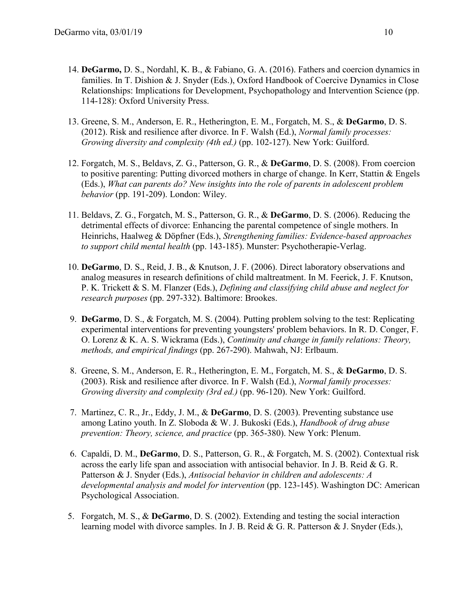- 14. **DeGarmo,** D. S., Nordahl, K. B., & Fabiano, G. A. (2016). Fathers and coercion dynamics in families. In T. Dishion & J. Snyder (Eds.), Oxford Handbook of Coercive Dynamics in Close Relationships: Implications for Development, Psychopathology and Intervention Science (pp. 114-128): Oxford University Press.
- 13. Greene, S. M., Anderson, E. R., Hetherington, E. M., Forgatch, M. S., & **DeGarmo**, D. S. (2012). Risk and resilience after divorce. In F. Walsh (Ed.), *Normal family processes: Growing diversity and complexity (4th ed.)* (pp. 102-127). New York: Guilford.
- 12. Forgatch, M. S., Beldavs, Z. G., Patterson, G. R., & **DeGarmo**, D. S. (2008). From coercion to positive parenting: Putting divorced mothers in charge of change. In Kerr, Stattin & Engels (Eds.), *What can parents do? New insights into the role of parents in adolescent problem behavior* (pp. 191-209). London: Wiley.
- 11. Beldavs, Z. G., Forgatch, M. S., Patterson, G. R., & **DeGarmo**, D. S. (2006). Reducing the detrimental effects of divorce: Enhancing the parental competence of single mothers. In Heinrichs, Haalweg & Döpfner (Eds.), *Strengthening families: Evidence-based approaches to support child mental health* (pp. 143-185). Munster: Psychotherapie-Verlag.
- 10. **DeGarmo**, D. S., Reid, J. B., & Knutson, J. F. (2006). Direct laboratory observations and analog measures in research definitions of child maltreatment. In M. Feerick, J. F. Knutson, P. K. Trickett & S. M. Flanzer (Eds.), *Defining and classifying child abuse and neglect for research purposes* (pp. 297-332). Baltimore: Brookes.
- 9. **DeGarmo**, D. S., & Forgatch, M. S. (2004). Putting problem solving to the test: Replicating experimental interventions for preventing youngsters' problem behaviors. In R. D. Conger, F. O. Lorenz & K. A. S. Wickrama (Eds.), *Continuity and change in family relations: Theory, methods, and empirical findings* (pp. 267-290). Mahwah, NJ: Erlbaum.
- 8. Greene, S. M., Anderson, E. R., Hetherington, E. M., Forgatch, M. S., & **DeGarmo**, D. S. (2003). Risk and resilience after divorce. In F. Walsh (Ed.), *Normal family processes: Growing diversity and complexity (3rd ed.)* (pp. 96-120). New York: Guilford.
- 7. Martinez, C. R., Jr., Eddy, J. M., & **DeGarmo**, D. S. (2003). Preventing substance use among Latino youth. In Z. Sloboda & W. J. Bukoski (Eds.), *Handbook of drug abuse prevention: Theory, science, and practice* (pp. 365-380). New York: Plenum.
- 6. Capaldi, D. M., **DeGarmo**, D. S., Patterson, G. R., & Forgatch, M. S. (2002). Contextual risk across the early life span and association with antisocial behavior. In J. B. Reid & G. R. Patterson & J. Snyder (Eds.), *Antisocial behavior in children and adolescents: A developmental analysis and model for intervention* (pp. 123-145). Washington DC: American Psychological Association.
- 5. Forgatch, M. S., & **DeGarmo**, D. S. (2002). Extending and testing the social interaction learning model with divorce samples. In J. B. Reid & G. R. Patterson & J. Snyder (Eds.),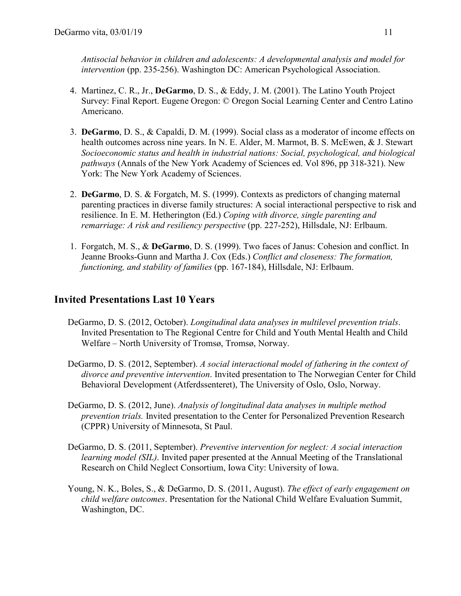*Antisocial behavior in children and adolescents: A developmental analysis and model for intervention* (pp. 235-256). Washington DC: American Psychological Association.

- 4. Martinez, C. R., Jr., **DeGarmo**, D. S., & Eddy, J. M. (2001). The Latino Youth Project Survey: Final Report. Eugene Oregon: © Oregon Social Learning Center and Centro Latino Americano.
- 3. **DeGarmo**, D. S., & Capaldi, D. M. (1999). Social class as a moderator of income effects on health outcomes across nine years. In N. E. Alder, M. Marmot, B. S. McEwen, & J. Stewart *Socioeconomic status and health in industrial nations: Social, psychological, and biological pathways* (Annals of the New York Academy of Sciences ed. Vol 896, pp 318-321). New York: The New York Academy of Sciences.
- 2. **DeGarmo**, D. S. & Forgatch, M. S. (1999). Contexts as predictors of changing maternal parenting practices in diverse family structures: A social interactional perspective to risk and resilience. In E. M. Hetherington (Ed.) *Coping with divorce, single parenting and remarriage: A risk and resiliency perspective* (pp. 227-252), Hillsdale, NJ: Erlbaum.
- 1. Forgatch, M. S., & **DeGarmo**, D. S. (1999). Two faces of Janus: Cohesion and conflict. In Jeanne Brooks-Gunn and Martha J. Cox (Eds.) *Conflict and closeness: The formation, functioning, and stability of families* (pp. 167-184), Hillsdale, NJ: Erlbaum.

## **Invited Presentations Last 10 Years**

- DeGarmo, D. S. (2012, October). *Longitudinal data analyses in multilevel prevention trials*. Invited Presentation to The Regional Centre for Child and Youth Mental Health and Child Welfare – North University of Tromsø, Tromsø, Norway.
- DeGarmo, D. S. (2012, September). *A social interactional model of fathering in the context of divorce and preventive intervention*. Invited presentation to The Norwegian Center for Child Behavioral Development (Atferdssenteret), The University of Oslo, Oslo, Norway.
- DeGarmo, D. S. (2012, June). *Analysis of longitudinal data analyses in multiple method prevention trials.* Invited presentation to the Center for Personalized Prevention Research (CPPR) University of Minnesota, St Paul.
- DeGarmo, D. S. (2011, September). *Preventive intervention for neglect: A social interaction learning model (SIL)*. Invited paper presented at the Annual Meeting of the Translational Research on Child Neglect Consortium, Iowa City: University of Iowa.
- Young, N. K., Boles, S., & DeGarmo, D. S. (2011, August). *The effect of early engagement on child welfare outcomes*. Presentation for the National Child Welfare Evaluation Summit, Washington, DC.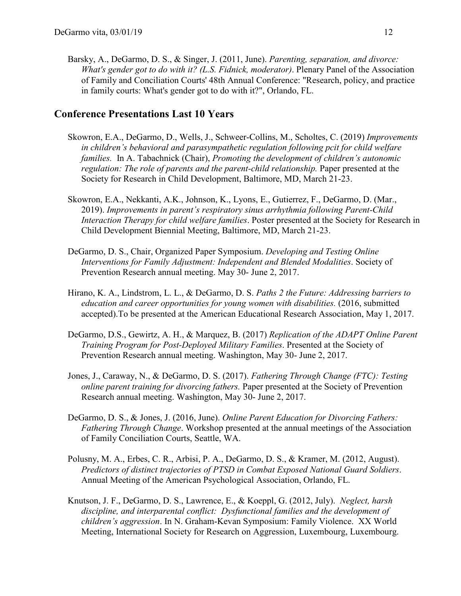Barsky, A., DeGarmo, D. S., & Singer, J. (2011, June). *Parenting, separation, and divorce: What's gender got to do with it? (L.S. Fidnick, moderator)*. Plenary Panel of the Association of Family and Conciliation Courts' 48th Annual Conference: "Research, policy, and practice in family courts: What's gender got to do with it?", Orlando, FL.

#### **Conference Presentations Last 10 Years**

- Skowron, E.A., DeGarmo, D., Wells, J., Schweer-Collins, M., Scholtes, C. (2019) *Improvements in children's behavioral and parasympathetic regulation following pcit for child welfare families.* In A. Tabachnick (Chair), *Promoting the development of children's autonomic regulation: The role of parents and the parent-child relationship.* Paper presented at the Society for Research in Child Development, Baltimore, MD, March 21-23.
- Skowron, E.A., Nekkanti, A.K., Johnson, K., Lyons, E., Gutierrez, F., DeGarmo, D. (Mar., 2019). *Improvements in parent's respiratory sinus arrhythmia following Parent-Child Interaction Therapy for child welfare families*. Poster presented at the Society for Research in Child Development Biennial Meeting, Baltimore, MD, March 21-23.
- DeGarmo, D. S., Chair, Organized Paper Symposium. *Developing and Testing Online Interventions for Family Adjustment: Independent and Blended Modalities*. Society of Prevention Research annual meeting. May 30- June 2, 2017.
- Hirano, K. A., Lindstrom, L. L., & DeGarmo, D. S. *Paths 2 the Future: Addressing barriers to education and career opportunities for young women with disabilities.* (2016, submitted accepted).To be presented at the American Educational Research Association, May 1, 2017.
- DeGarmo, D.S., Gewirtz, A. H., & Marquez, B. (2017) *Replication of the ADAPT Online Parent Training Program for Post-Deployed Military Families*. Presented at the Society of Prevention Research annual meeting. Washington, May 30- June 2, 2017.
- Jones, J., Caraway, N., & DeGarmo, D. S. (2017). *Fathering Through Change (FTC): Testing online parent training for divorcing fathers.* Paper presented at the Society of Prevention Research annual meeting. Washington, May 30- June 2, 2017.
- DeGarmo, D. S., & Jones, J. (2016, June). *Online Parent Education for Divorcing Fathers: Fathering Through Change*. Workshop presented at the annual meetings of the Association of Family Conciliation Courts, Seattle, WA.
- Polusny, M. A., Erbes, C. R., Arbisi, P. A., DeGarmo, D. S., & Kramer, M. (2012, August). *Predictors of distinct trajectories of PTSD in Combat Exposed National Guard Soldiers*. Annual Meeting of the American Psychological Association, Orlando, FL.
- Knutson, J. F., DeGarmo, D. S., Lawrence, E., & Koeppl, G. (2012, July). *Neglect, harsh discipline, and interparental conflict: Dysfunctional families and the development of children's aggression*. In N. Graham-Kevan Symposium: Family Violence. XX World Meeting, International Society for Research on Aggression, Luxembourg, Luxembourg.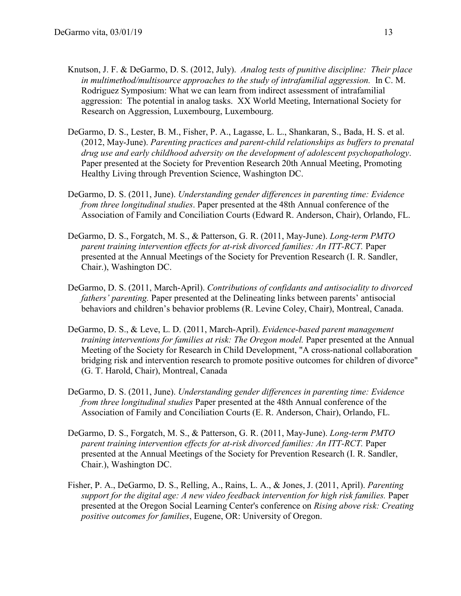- Knutson, J. F. & DeGarmo, D. S. (2012, July). *Analog tests of punitive discipline: Their place in multimethod/multisource approaches to the study of intrafamilial aggression.* In C. M. Rodriguez Symposium: What we can learn from indirect assessment of intrafamilial aggression: The potential in analog tasks. XX World Meeting, International Society for Research on Aggression, Luxembourg, Luxembourg.
- DeGarmo, D. S., Lester, B. M., Fisher, P. A., Lagasse, L. L., Shankaran, S., Bada, H. S. et al. (2012, May-June). *Parenting practices and parent-child relationships as buffers to prenatal drug use and early childhood adversity on the development of adolescent psychopathology*. Paper presented at the Society for Prevention Research 20th Annual Meeting, Promoting Healthy Living through Prevention Science, Washington DC.
- DeGarmo, D. S. (2011, June). *Understanding gender differences in parenting time: Evidence from three longitudinal studies*. Paper presented at the 48th Annual conference of the Association of Family and Conciliation Courts (Edward R. Anderson, Chair), Orlando, FL.
- DeGarmo, D. S., Forgatch, M. S., & Patterson, G. R. (2011, May-June). *Long-term PMTO parent training intervention effects for at-risk divorced families: An ITT-RCT.* Paper presented at the Annual Meetings of the Society for Prevention Research (I. R. Sandler, Chair.), Washington DC.
- DeGarmo, D. S. (2011, March-April). *Contributions of confidants and antisociality to divorced fathers' parenting.* Paper presented at the Delineating links between parents' antisocial behaviors and children's behavior problems (R. Levine Coley, Chair), Montreal, Canada.
- DeGarmo, D. S., & Leve, L. D. (2011, March-April). *Evidence-based parent management training interventions for families at risk: The Oregon model.* Paper presented at the Annual Meeting of the Society for Research in Child Development, "A cross-national collaboration bridging risk and intervention research to promote positive outcomes for children of divorce" (G. T. Harold, Chair), Montreal, Canada
- DeGarmo, D. S. (2011, June). *Understanding gender differences in parenting time: Evidence from three longitudinal studies* Paper presented at the 48th Annual conference of the Association of Family and Conciliation Courts (E. R. Anderson, Chair), Orlando, FL.
- DeGarmo, D. S., Forgatch, M. S., & Patterson, G. R. (2011, May-June). *Long-term PMTO parent training intervention effects for at-risk divorced families: An ITT-RCT.* Paper presented at the Annual Meetings of the Society for Prevention Research (I. R. Sandler, Chair.), Washington DC.
- Fisher, P. A., DeGarmo, D. S., Relling, A., Rains, L. A., & Jones, J. (2011, April). *Parenting support for the digital age: A new video feedback intervention for high risk families.* Paper presented at the Oregon Social Learning Center's conference on *Rising above risk: Creating positive outcomes for families*, Eugene, OR: University of Oregon.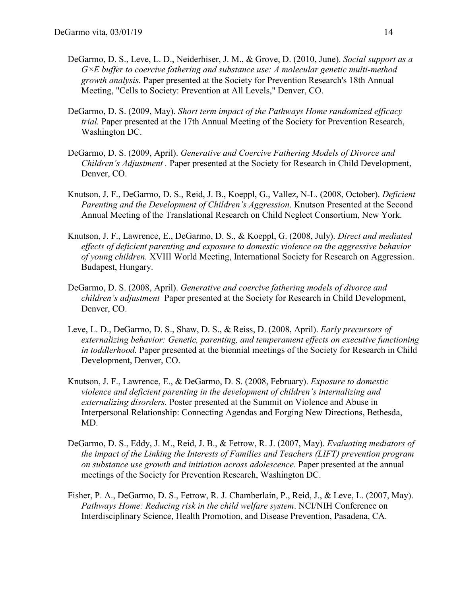- DeGarmo, D. S., Leve, L. D., Neiderhiser, J. M., & Grove, D. (2010, June). *Social support as a G×E buffer to coercive fathering and substance use: A molecular genetic multi-method growth analysis.* Paper presented at the Society for Prevention Research's 18th Annual Meeting, "Cells to Society: Prevention at All Levels," Denver, CO.
- DeGarmo, D. S. (2009, May). *Short term impact of the Pathways Home randomized efficacy trial.* Paper presented at the 17th Annual Meeting of the Society for Prevention Research, Washington DC.
- DeGarmo, D. S. (2009, April). *Generative and Coercive Fathering Models of Divorce and Children's Adjustment .* Paper presented at the Society for Research in Child Development, Denver, CO.
- Knutson, J. F., DeGarmo, D. S., Reid, J. B., Koeppl, G., Vallez, N-L. (2008, October). *Deficient Parenting and the Development of Children's Aggression*. Knutson Presented at the Second Annual Meeting of the Translational Research on Child Neglect Consortium, New York.
- Knutson, J. F., Lawrence, E., DeGarmo, D. S., & Koeppl, G. (2008, July). *Direct and mediated effects of deficient parenting and exposure to domestic violence on the aggressive behavior of young children.* XVIII World Meeting, International Society for Research on Aggression. Budapest, Hungary.
- DeGarmo, D. S. (2008, April). *Generative and coercive fathering models of divorce and children's adjustment* Paper presented at the Society for Research in Child Development, Denver, CO.
- Leve, L. D., DeGarmo, D. S., Shaw, D. S., & Reiss, D. (2008, April). *Early precursors of externalizing behavior: Genetic, parenting, and temperament effects on executive functioning in toddlerhood.* Paper presented at the biennial meetings of the Society for Research in Child Development, Denver, CO.
- Knutson, J. F., Lawrence, E., & DeGarmo, D. S. (2008, February). *Exposure to domestic violence and deficient parenting in the development of children's internalizing and externalizing disorders.* Poster presented at the Summit on Violence and Abuse in Interpersonal Relationship: Connecting Agendas and Forging New Directions, Bethesda, MD.
- DeGarmo, D. S., Eddy, J. M., Reid, J. B., & Fetrow, R. J. (2007, May). *Evaluating mediators of the impact of the Linking the Interests of Families and Teachers (LIFT) prevention program on substance use growth and initiation across adolescence.* Paper presented at the annual meetings of the Society for Prevention Research, Washington DC.
- Fisher, P. A., DeGarmo, D. S., Fetrow, R. J. Chamberlain, P., Reid, J., & Leve, L. (2007, May). *Pathways Home: Reducing risk in the child welfare system*. NCI/NIH Conference on Interdisciplinary Science, Health Promotion, and Disease Prevention, Pasadena, CA.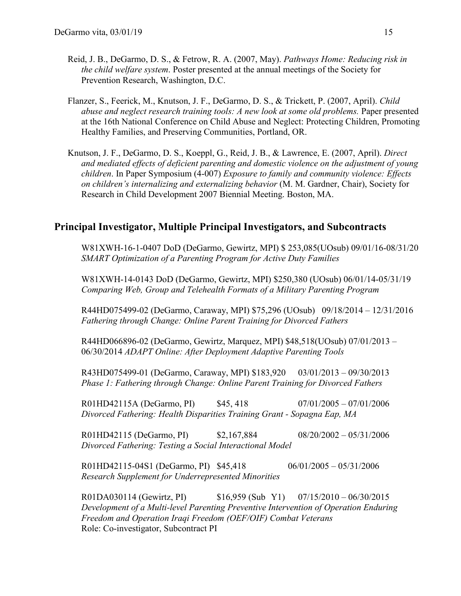- Reid, J. B., DeGarmo, D. S., & Fetrow, R. A. (2007, May). *Pathways Home: Reducing risk in the child welfare system*. Poster presented at the annual meetings of the Society for Prevention Research, Washington, D.C.
- Flanzer, S., Feerick, M., Knutson, J. F., DeGarmo, D. S., & Trickett, P. (2007, April). *Child abuse and neglect research training tools: A new look at some old problems.* Paper presented at the 16th National Conference on Child Abuse and Neglect: Protecting Children, Promoting Healthy Families, and Preserving Communities, Portland, OR.
- Knutson, J. F., DeGarmo, D. S., Koeppl, G., Reid, J. B., & Lawrence, E. (2007, April). *Direct and mediated effects of deficient parenting and domestic violence on the adjustment of young children*. In Paper Symposium (4-007) *Exposure to family and community violence: Effects on children's internalizing and externalizing behavior* (M. M. Gardner, Chair), Society for Research in Child Development 2007 Biennial Meeting. Boston, MA.

#### **Principal Investigator, Multiple Principal Investigators, and Subcontracts**

W81XWH-16-1-0407 DoD (DeGarmo, Gewirtz, MPI) \$ 253,085(UOsub) 09/01/16-08/31/20 *SMART Optimization of a Parenting Program for Active Duty Families*

W81XWH-14-0143 DoD (DeGarmo, Gewirtz, MPI) \$250,380 (UOsub) 06/01/14-05/31/19 *Comparing Web, Group and Telehealth Formats of a Military Parenting Program*

R44HD075499-02 (DeGarmo, Caraway, MPI) \$75,296 (UOsub) 09/18/2014 – 12/31/2016 *Fathering through Change: Online Parent Training for Divorced Fathers* 

R44HD066896-02 (DeGarmo, Gewirtz, Marquez, MPI) \$48,518(UOsub) 07/01/2013 – 06/30/2014 *ADAPT Online: After Deployment Adaptive Parenting Tools*

R43HD075499-01 (DeGarmo, Caraway, MPI) \$183,920 03/01/2013 – 09/30/2013 *Phase 1: Fathering through Change: Online Parent Training for Divorced Fathers* 

R01HD42115A (DeGarmo, PI) \$45, 418 07/01/2005 – 07/01/2006 *Divorced Fathering: Health Disparities Training Grant - Sopagna Eap, MA* 

R01HD42115 (DeGarmo, PI) \$2,167,884 08/20/2002 – 05/31/2006 *Divorced Fathering: Testing a Social Interactional Model*

R01HD42115-04S1 (DeGarmo, PI) \$45,418 06/01/2005 – 05/31/2006 *Research Supplement for Underrepresented Minorities*

R01DA030114 (Gewirtz, PI) \$16,959 (Sub Y1) 07/15/2010 – 06/30/2015 *Development of a Multi-level Parenting Preventive Intervention of Operation Enduring Freedom and Operation Iraqi Freedom (OEF/OIF) Combat Veterans* Role: Co-investigator, Subcontract PI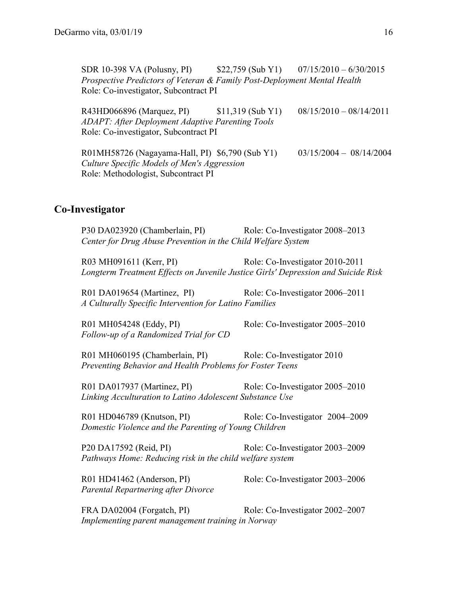SDR 10-398 VA (Polusny, PI) \$22,759 (Sub Y1) 07/15/2010 – 6/30/2015 *Prospective Predictors of Veteran & Family Post-Deployment Mental Health* Role: Co-investigator, Subcontract PI

R43HD066896 (Marquez, PI) \$11,319 (Sub Y1) 08/15/2010 – 08/14/2011 *ADAPT: After Deployment Adaptive Parenting Tools* Role: Co-investigator, Subcontract PI

R01MH58726 (Nagayama-Hall, PI) \$6,790 (Sub Y1) 03/15/2004 – 08/14/2004 *Culture Specific Models of Men's Aggression* Role: Methodologist, Subcontract PI

#### **Co-Investigator**

P30 DA023920 (Chamberlain, PI) Role: Co-Investigator 2008–2013 *Center for Drug Abuse Prevention in the Child Welfare System* R03 MH091611 (Kerr, PI) Role: Co-Investigator 2010-2011 *Longterm Treatment Effects on Juvenile Justice Girls' Depression and Suicide Risk* R01 DA019654 (Martinez, PI) Role: Co-Investigator 2006–2011 *A Culturally Specific Intervention for Latino Families* R01 MH054248 (Eddy, PI) Role: Co-Investigator 2005–2010 *Follow-up of a Randomized Trial for CD* R01 MH060195 (Chamberlain, PI) Role: Co-Investigator 2010 *Preventing Behavior and Health Problems for Foster Teens* R01 DA017937 (Martinez, PI) Role: Co-Investigator 2005–2010 *Linking Acculturation to Latino Adolescent Substance Use* R01 HD046789 (Knutson, PI) Role: Co-Investigator 2004–2009 *Domestic Violence and the Parenting of Young Children* P20 DA17592 (Reid, PI) Role: Co-Investigator 2003–2009 *Pathways Home: Reducing risk in the child welfare system* R01 HD41462 (Anderson, PI) Role: Co-Investigator 2003–2006 *Parental Repartnering after Divorce* FRA DA02004 (Forgatch, PI) Role: Co-Investigator 2002–2007 *Implementing parent management training in Norway*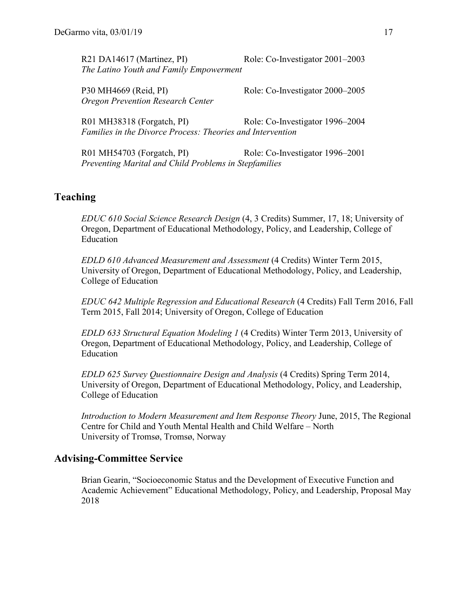| R21 DA14617 (Martinez, PI)               | Role: Co-Investigator 2001–2003 |  |  |  |
|------------------------------------------|---------------------------------|--|--|--|
| The Latino Youth and Family Empowerment  |                                 |  |  |  |
|                                          |                                 |  |  |  |
| P30 MH4669 (Reid, PI)                    | Role: Co-Investigator 2000–2005 |  |  |  |
| <b>Oregon Prevention Research Center</b> |                                 |  |  |  |

R01 MH38318 (Forgatch, PI) Role: Co-Investigator 1996–2004 *Families in the Divorce Process: Theories and Intervention*

R01 MH54703 (Forgatch, PI) Role: Co-Investigator 1996–2001 *Preventing Marital and Child Problems in Stepfamilies*

### **Teaching**

*EDUC 610 Social Science Research Design* (4, 3 Credits) Summer, 17, 18; University of Oregon, Department of Educational Methodology, Policy, and Leadership, College of Education

*EDLD 610 Advanced Measurement and Assessment* (4 Credits) Winter Term 2015, University of Oregon, Department of Educational Methodology, Policy, and Leadership, College of Education

*EDUC 642 Multiple Regression and Educational Research* (4 Credits) Fall Term 2016, Fall Term 2015, Fall 2014; University of Oregon, College of Education

*EDLD 633 Structural Equation Modeling 1* (4 Credits) Winter Term 2013, University of Oregon, Department of Educational Methodology, Policy, and Leadership, College of Education

*EDLD 625 Survey Questionnaire Design and Analysis* (4 Credits) Spring Term 2014, University of Oregon, Department of Educational Methodology, Policy, and Leadership, College of Education

*Introduction to Modern Measurement and Item Response Theory* June, 2015, The Regional Centre for Child and Youth Mental Health and Child Welfare – North University of Tromsø, Tromsø, Norway

#### **Advising-Committee Service**

Brian Gearin, "Socioeconomic Status and the Development of Executive Function and Academic Achievement" Educational Methodology, Policy, and Leadership, Proposal May 2018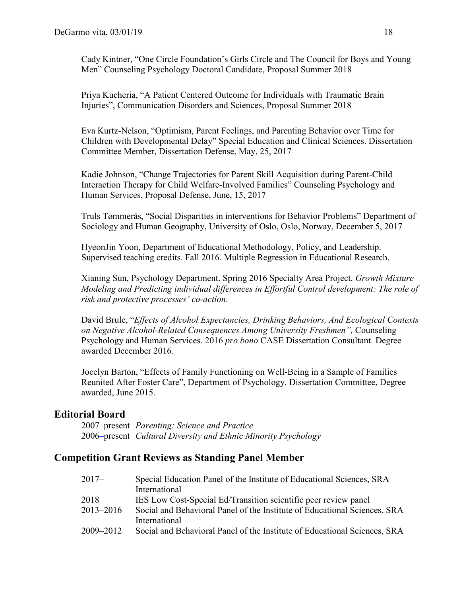Cady Kintner, "One Circle Foundation's Girls Circle and The Council for Boys and Young Men" Counseling Psychology Doctoral Candidate, Proposal Summer 2018

Priya Kucheria, "A Patient Centered Outcome for Individuals with Traumatic Brain Injuries", Communication Disorders and Sciences, Proposal Summer 2018

Eva Kurtz-Nelson, "Optimism, Parent Feelings, and Parenting Behavior over Time for Children with Developmental Delay" Special Education and Clinical Sciences. Dissertation Committee Member, Dissertation Defense, May, 25, 2017

Kadie Johnson, "Change Trajectories for Parent Skill Acquisition during Parent-Child Interaction Therapy for Child Welfare-Involved Families" Counseling Psychology and Human Services, Proposal Defense, June, 15, 2017

Truls Tømmerås, "Social Disparities in interventions for Behavior Problems" Department of Sociology and Human Geography, University of Oslo, Oslo, Norway, December 5, 2017

HyeonJin Yoon, Department of Educational Methodology, Policy, and Leadership. Supervised teaching credits. Fall 2016. Multiple Regression in Educational Research.

Xianing Sun, Psychology Department. Spring 2016 Specialty Area Project. *Growth Mixture Modeling and Predicting individual differences in Effortful Control development: The role of risk and protective processes' co-action*.

David Brule, "*Effects of Alcohol Expectancies, Drinking Behaviors, And Ecological Contexts on Negative Alcohol-Related Consequences Among University Freshmen",* Counseling Psychology and Human Services. 2016 *pro bono* CASE Dissertation Consultant. Degree awarded December 2016.

Jocelyn Barton, "Effects of Family Functioning on Well-Being in a Sample of Families Reunited After Foster Care", Department of Psychology. Dissertation Committee, Degree awarded, June 2015.

#### **Editorial Board**

2007*–*present *Parenting: Science and Practice* 2006*–*present *Cultural Diversity and Ethnic Minority Psychology*

#### **Competition Grant Reviews as Standing Panel Member**

| 2017–     | Special Education Panel of the Institute of Educational Sciences, SRA     |
|-----------|---------------------------------------------------------------------------|
|           | International                                                             |
| 2018      | IES Low Cost-Special Ed/Transition scientific peer review panel           |
| 2013-2016 | Social and Behavioral Panel of the Institute of Educational Sciences, SRA |
|           | International                                                             |
| 2009–2012 | Social and Behavioral Panel of the Institute of Educational Sciences, SRA |